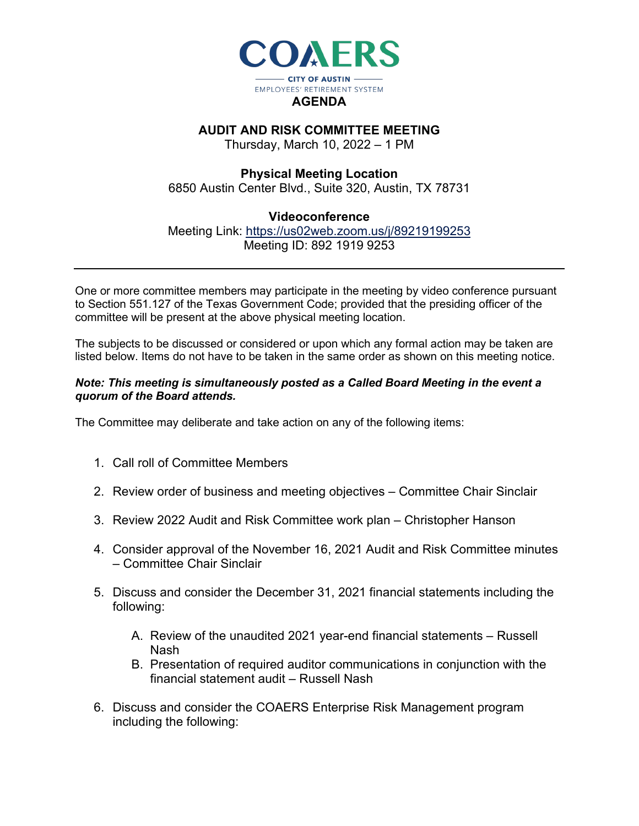

## **AUDIT AND RISK COMMITTEE MEETING**

Thursday, March 10, 2022 – 1 PM

## **Physical Meeting Location**

6850 Austin Center Blvd., Suite 320, Austin, TX 78731

## **Videoconference**

Meeting Link:<https://us02web.zoom.us/j/89219199253> Meeting ID: 892 1919 9253

One or more committee members may participate in the meeting by video conference pursuant to Section 551.127 of the Texas Government Code; provided that the presiding officer of the committee will be present at the above physical meeting location.

The subjects to be discussed or considered or upon which any formal action may be taken are listed below. Items do not have to be taken in the same order as shown on this meeting notice.

## *Note: This meeting is simultaneously posted as a Called Board Meeting in the event a quorum of the Board attends.*

The Committee may deliberate and take action on any of the following items:

- 1. Call roll of Committee Members
- 2. Review order of business and meeting objectives Committee Chair Sinclair
- 3. Review 2022 Audit and Risk Committee work plan Christopher Hanson
- 4. Consider approval of the November 16, 2021 Audit and Risk Committee minutes – Committee Chair Sinclair
- 5. Discuss and consider the December 31, 2021 financial statements including the following:
	- A. Review of the unaudited 2021 year-end financial statements Russell Nash
	- B. Presentation of required auditor communications in conjunction with the financial statement audit – Russell Nash
- 6. Discuss and consider the COAERS Enterprise Risk Management program including the following: